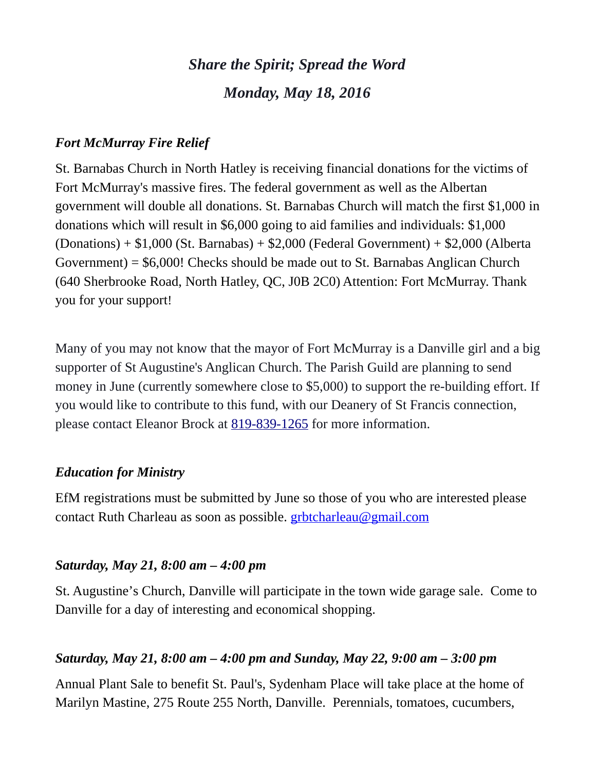# *Share the Spirit; Spread the Word Monday, May 18, 2016*

### *Fort McMurray Fire Relief*

St. Barnabas Church in North Hatley is receiving financial donations for the victims of Fort McMurray's massive fires. The federal government as well as the Albertan government will double all donations. St. Barnabas Church will match the first \$1,000 in donations which will result in \$6,000 going to aid families and individuals: \$1,000 (Donations) + \$1,000 (St. Barnabas) + \$2,000 (Federal Government) + \$2,000 (Alberta Government) = \$6,000! Checks should be made out to St. Barnabas Anglican Church (640 Sherbrooke Road, North Hatley, QC, J0B 2C0) Attention: Fort McMurray. Thank you for your support!

Many of you may not know that the mayor of Fort McMurray is a Danville girl and a big supporter of St Augustine's Anglican Church. The Parish Guild are planning to send money in June (currently somewhere close to \$5,000) to support the re-building effort. If you would like to contribute to this fund, with our Deanery of St Francis connection, please contact Eleanor Brock at [819-839-1265](tel:819-839-1265) for more information.

#### *Education for Ministry*

EfM registrations must be submitted by June so those of you who are interested please contact Ruth Charleau as soon as possible. [grbtcharleau@gmail.com](https://webmail.ubishops.ca/owa/redir.aspx?REF=W3VKpbh78CEk8mEEdUtO6AzFnBjpWUJBPbcujQuolDidigJaVH7TCAFtYWlsdG86Z3JidGNoYXJsZWF1QGdtYWlsLmNvbQ..)

#### *Saturday, May 21, 8:00 am – 4:00 pm*

St. Augustine's Church, Danville will participate in the town wide garage sale. Come to Danville for a day of interesting and economical shopping.

#### *Saturday, May 21, 8:00 am – 4:00 pm and Sunday, May 22, 9:00 am – 3:00 pm*

Annual Plant Sale to benefit St. Paul's, Sydenham Place will take place at the home of Marilyn Mastine, 275 Route 255 North, Danville. Perennials, tomatoes, cucumbers,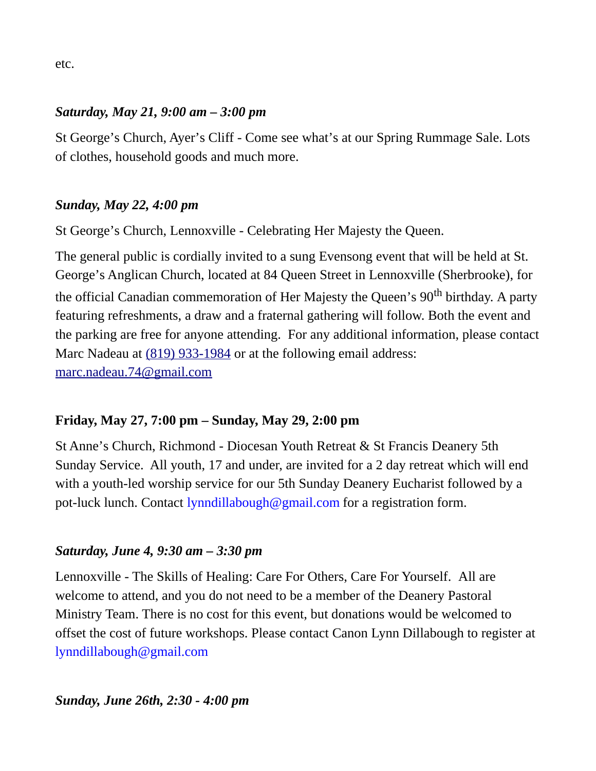### *Saturday, May 21, 9:00 am – 3:00 pm*

St George's Church, Ayer's Cliff - Come see what's at our Spring Rummage Sale. Lots of clothes, household goods and much more.

# *Sunday, May 22, 4:00 pm*

St George's Church, Lennoxville - Celebrating Her Majesty the Queen.

The general public is cordially invited to a sung Evensong event that will be held at St. George's Anglican Church, located at 84 Queen Street in Lennoxville (Sherbrooke), for the official Canadian commemoration of Her Majesty the Queen's  $90<sup>th</sup>$  birthday. A party featuring refreshments, a draw and a fraternal gathering will follow. Both the event and the parking are free for anyone attending. For any additional information, please contact Marc Nadeau at [\(819\) 933-1984](tel:(819)%20933-1984) or at the following email address: [marc.nadeau.74@gmail.com](mailto:marc.nadeau.74@gmail.com)

# **Friday, May 27, 7:00 pm – Sunday, May 29, 2:00 pm**

St Anne's Church, Richmond - Diocesan Youth Retreat & St Francis Deanery 5th Sunday Service. All youth, 17 and under, are invited for a 2 day retreat which will end with a youth-led worship service for our 5th Sunday Deanery Eucharist followed by a pot-luck lunch. Contact [lynndillabough@gmail.com](https://webmail.ubishops.ca/owa/redir.aspx?REF=E0UZUrCIOcgLF1G_4qECzq3OrI1Fn6f2O_cEChPNSZXMHau5IF7TCAFtYWlsdG86bHlubmRpbGxhYm91Z2hAZ21haWwuY29t) for a registration form.

## *Saturday, June 4, 9:30 am – 3:30 pm*

Lennoxville - The Skills of Healing: Care For Others, Care For Yourself. All are welcome to attend, and you do not need to be a member of the Deanery Pastoral Ministry Team. There is no cost for this event, but donations would be welcomed to offset the cost of future workshops. Please contact Canon Lynn Dillabough to register at [lynndillabough@gmail.com](https://webmail.ubishops.ca/owa/redir.aspx?SURL=hdjYUT7WCUNYqFZijozknMHWJ3aRy6vsqTzrilp56ZtP3_2s-BXTCG0AYQBpAGwAdABvADoAbAB5AG4AbgBkAGkAbABsAGEAYgBvAHUAZwBoAEAAZwBtAGEAaQBsAC4AYwBvAG0A&URL=mailto%3Alynndillabough@gmail.com)

## *Sunday, June 26th, 2:30 - 4:00 pm*